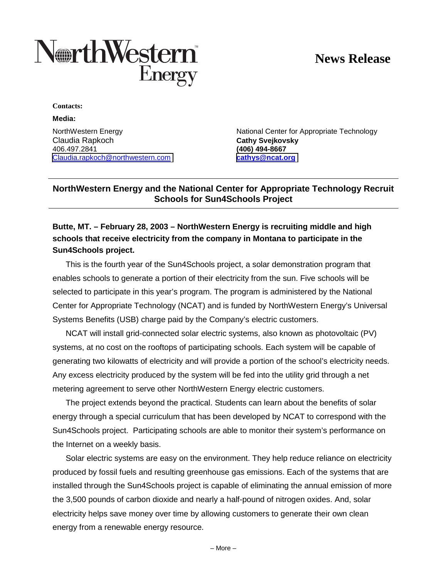# **News Release**



**Contacts:**

#### **Media:**

Claudia Rapkoch **Cathy Svejkovsky** 406.497.2841 **(406) 494-8667** [Claudia.rapkoch@northwestern.com](mailto:Claudia.rapkoch@northwestern.com) **[cathys@ncat.org](mailto:cathys@ncat.org)**

NorthWestern Energy **National Center for Appropriate Technology** 

## **NorthWestern Energy and the National Center for Appropriate Technology Recruit Schools for Sun4Schools Project**

# **Butte, MT. – February 28, 2003 – NorthWestern Energy is recruiting middle and high schools that receive electricity from the company in Montana to participate in the Sun4Schools project.**

This is the fourth year of the Sun4Schools project, a solar demonstration program that enables schools to generate a portion of their electricity from the sun. Five schools will be selected to participate in this year's program. The program is administered by the National Center for Appropriate Technology (NCAT) and is funded by NorthWestern Energy's Universal Systems Benefits (USB) charge paid by the Company's electric customers.

NCAT will install grid-connected solar electric systems, also known as photovoltaic (PV) systems, at no cost on the rooftops of participating schools. Each system will be capable of generating two kilowatts of electricity and will provide a portion of the school's electricity needs. Any excess electricity produced by the system will be fed into the utility grid through a net metering agreement to serve other NorthWestern Energy electric customers.

The project extends beyond the practical. Students can learn about the benefits of solar energy through a special curriculum that has been developed by NCAT to correspond with the Sun4Schools project. Participating schools are able to monitor their system's performance on the Internet on a weekly basis.

Solar electric systems are easy on the environment. They help reduce reliance on electricity produced by fossil fuels and resulting greenhouse gas emissions. Each of the systems that are installed through the Sun4Schools project is capable of eliminating the annual emission of more the 3,500 pounds of carbon dioxide and nearly a half-pound of nitrogen oxides. And, solar electricity helps save money over time by allowing customers to generate their own clean energy from a renewable energy resource.